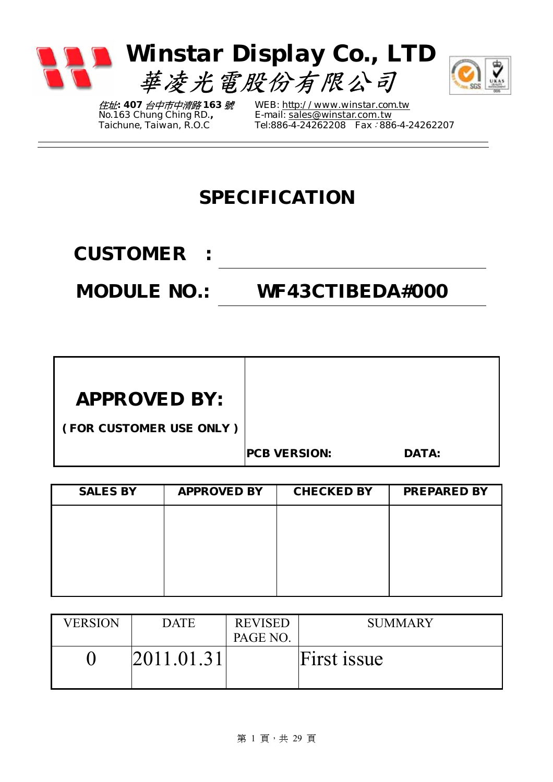

住址*: 407* 台中市中清路 *163* 號 *No.163 Chung Ching RD., Taichune, Taiwan, R.O.C* 

*WEB: http://www.winstar.com.tw E-mail:* sales@winstar.com.tw *Tel:886-4-24262208 Fax*:*886-4-24262207*

### **SPECIFICATION**

**CUSTOMER :** 

**MODULE NO.: WF43CTIBEDA#000** 

| <b>APPROVED BY:</b> |  |
|---------------------|--|
|---------------------|--|

**( FOR CUSTOMER USE ONLY )**

**PCB VERSION: DATA:** 

| <b>SALES BY</b> | <b>APPROVED BY</b> | <b>CHECKED BY</b> | <b>PREPARED BY</b> |
|-----------------|--------------------|-------------------|--------------------|
|                 |                    |                   |                    |
|                 |                    |                   |                    |
|                 |                    |                   |                    |
|                 |                    |                   |                    |

| <b>VERSION</b> | <b>DATE</b> | <b>REVISED</b> | <b>SUMMARY</b> |
|----------------|-------------|----------------|----------------|
|                |             | PAGE NO.       |                |
|                | 2011.01.31  |                | First issue    |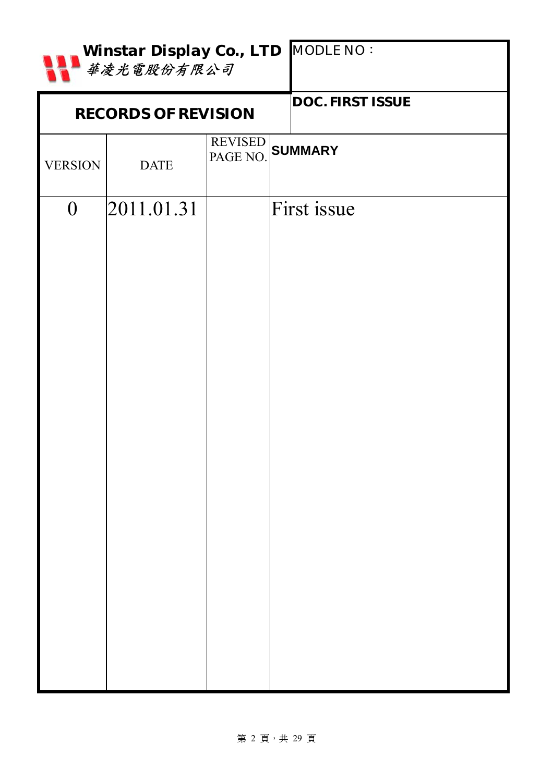|                | Winstar Display Co., LTD MODLE NO:<br>華凌光電股份有限公司 |  |                         |  |  |  |  |
|----------------|--------------------------------------------------|--|-------------------------|--|--|--|--|
|                | <b>RECORDS OF REVISION</b>                       |  | <b>DOC. FIRST ISSUE</b> |  |  |  |  |
| <b>VERSION</b> | <b>DATE</b>                                      |  | REVISED SUMMARY         |  |  |  |  |
| $\overline{0}$ | 2011.01.31                                       |  | First issue             |  |  |  |  |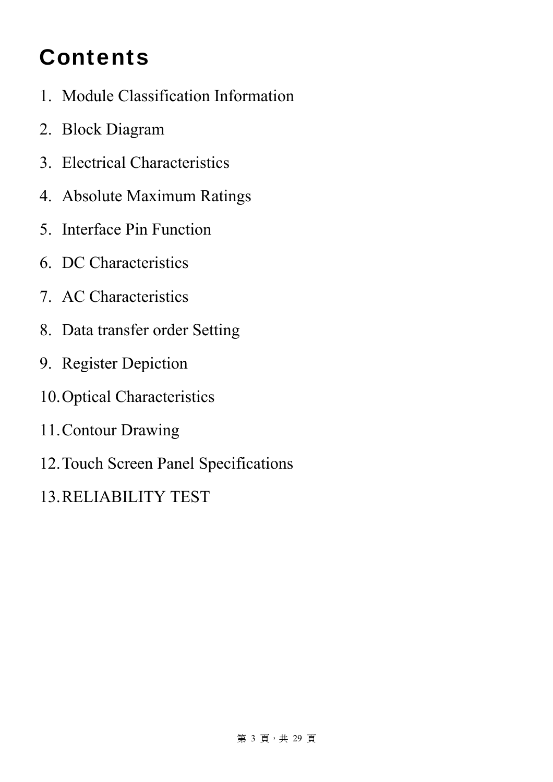# **Contents**

- 1. Module Classification Information
- 2. Block Diagram
- 3. Electrical Characteristics
- 4. Absolute Maximum Ratings
- 5. Interface Pin Function
- 6. DC Characteristics
- 7. AC Characteristics
- 8. Data transfer order Setting
- 9. Register Depiction
- 10.Optical Characteristics
- 11.Contour Drawing
- 12.Touch Screen Panel Specifications
- 13.RELIABILITY TEST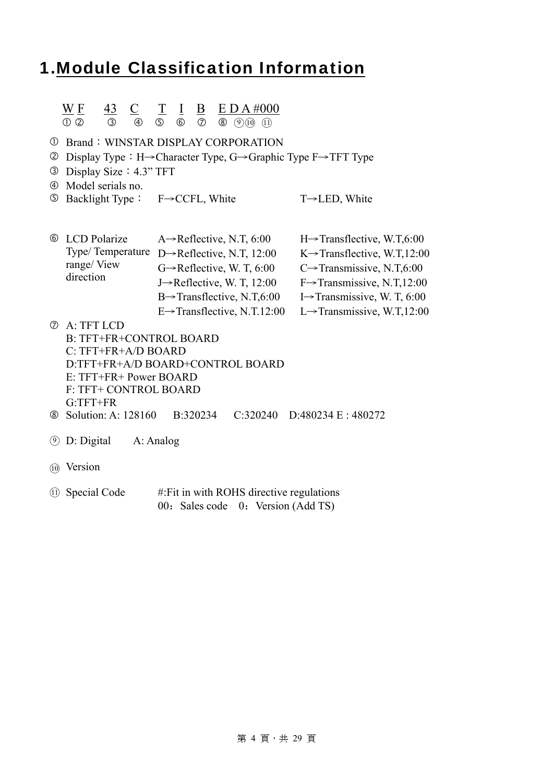### 1.Module Classification Information

#### $\underline{W}$  <u>F 43</u> C T I B E D A #000  $0$  2  $3$   $0$   $5$   $6$   $2$   $8$   $9$   $10$   $11$

- *C* Brand: WINSTAR DISPLAY CORPORATION
- d Display Type:H→Character Type, G→Graphic Type F→TFT Type
- e Display Size:4.3" TFT
- f Model serials no.
- g Backlight Type: F→CCFL, White T→LED, White

| <b>6</b> LCD Polarize | A $\rightarrow$ Reflective, N.T, 6:00    | $H \rightarrow$ Transflective, W.T.6:00  |
|-----------------------|------------------------------------------|------------------------------------------|
| Type/Temperature      | D $\rightarrow$ Reflective, N.T, 12:00   | K $\rightarrow$ Transflective, W.T,12:00 |
| range/View            | $G \rightarrow$ Reflective, W. T, 6:00   | C $\rightarrow$ Transmissive, N.T,6:00   |
| direction             | J $\rightarrow$ Reflective, W. T, 12:00  | $F \rightarrow$ Transmissive, N.T.12:00  |
|                       | $B \rightarrow$ Transflective, N.T.6:00  | I $\rightarrow$ Transmissive, W. T, 6:00 |
|                       | $E \rightarrow$ Transflective, N.T.12:00 | L $\rightarrow$ Transmissive, W.T.12:00  |
|                       |                                          |                                          |

- $\oslash$  A: TFT LCD B: TFT+FR+CONTROL BOARD C: TFT+FR+A/D BOARD D:TFT+FR+A/D BOARD+CONTROL BOARD E: TFT+FR+ Power BOARD F: TFT+ CONTROL BOARD G:TFT+FR
- j Solution: A: 128160 B:320234 C:320240 D:480234 E : 480272
- ○<sup>9</sup> D: Digital A: Analog
- ○<sup>10</sup> Version
- $(1)$  Special Code #:Fit in with ROHS directive regulations 00: Sales code 0: Version (Add TS)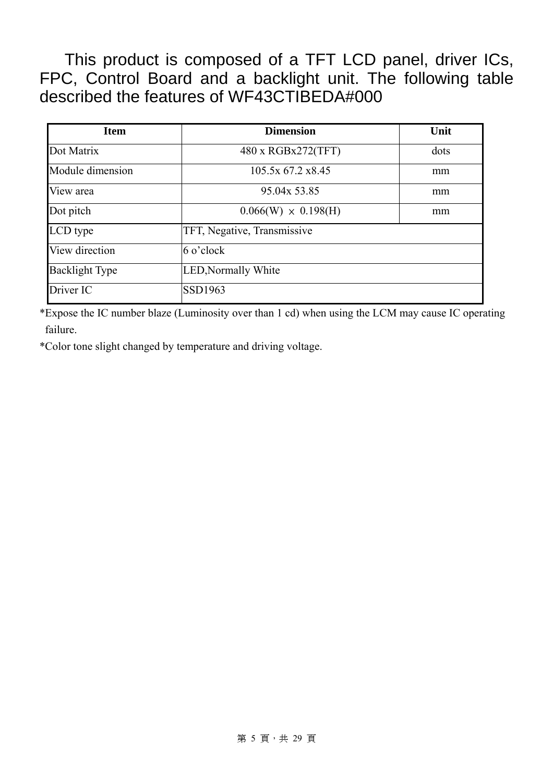This product is composed of a TFT LCD panel, driver ICs, FPC, Control Board and a backlight unit. The following table described the features of WF43CTIBEDA#000

| <b>Item</b>           | <b>Dimension</b>            | Unit |
|-----------------------|-----------------------------|------|
| Dot Matrix            | 480 x RGBx272(TFT)          | dots |
| Module dimension      | 105.5x 67.2 x8.45           | mm   |
| View area             | 95.04x 53.85                | mm   |
| Dot pitch             | $0.066(W) \times 0.198(H)$  | mm   |
| LCD type              | TFT, Negative, Transmissive |      |
| View direction        | $6$ o'clock                 |      |
| <b>Backlight Type</b> | <b>LED, Normally White</b>  |      |
| Driver IC             | <b>SSD1963</b>              |      |

\*Expose the IC number blaze (Luminosity over than 1 cd) when using the LCM may cause IC operating failure.

\*Color tone slight changed by temperature and driving voltage.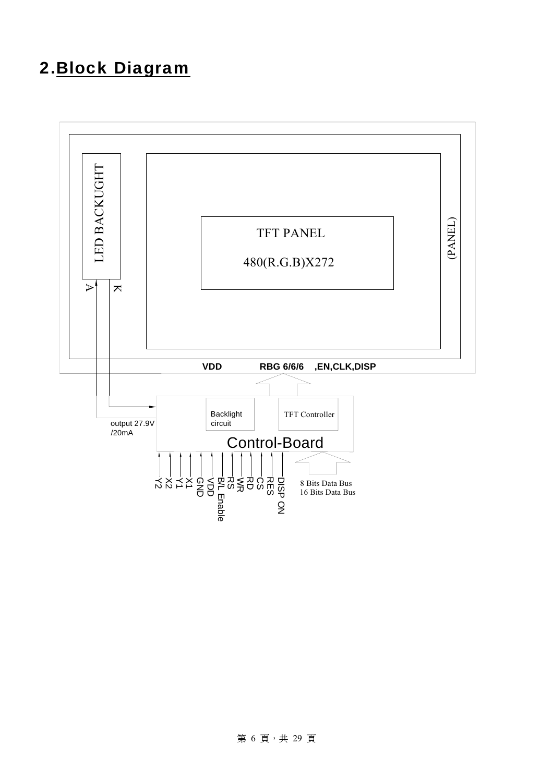### 2.Block Diagram

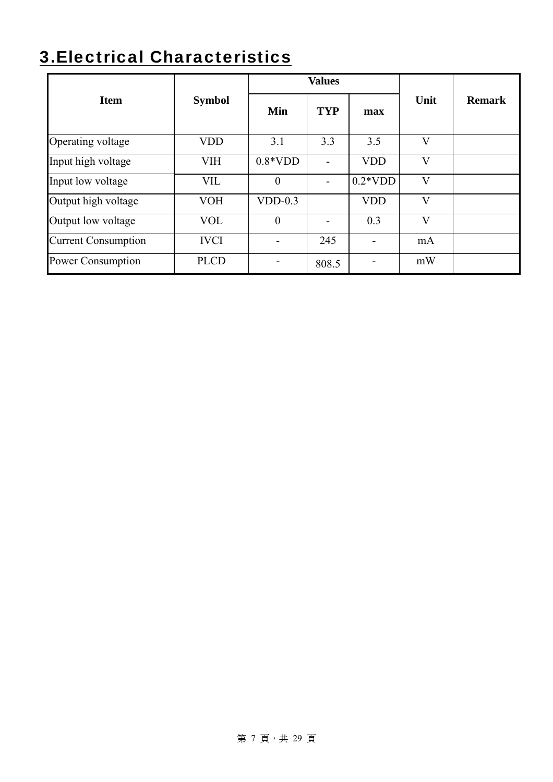# 3.Electrical Characteristics

|                            |               |                | <b>Values</b>            |            |                         |               |
|----------------------------|---------------|----------------|--------------------------|------------|-------------------------|---------------|
| <b>Item</b>                | <b>Symbol</b> | Min            | <b>TYP</b>               | max        | Unit                    | <b>Remark</b> |
| Operating voltage          | <b>VDD</b>    | 3.1            | 3.3                      | 3.5        | $\mathbf{V}$            |               |
| Input high voltage         | <b>VIH</b>    | $0.8*VDD$      | $\overline{\phantom{0}}$ | <b>VDD</b> | $\overline{\mathsf{V}}$ |               |
| Input low voltage          | <b>VIL</b>    | $\theta$       | $\blacksquare$           | $0.2*VDD$  | $\mathbf{V}$            |               |
| Output high voltage        | <b>VOH</b>    | $VDD-0.3$      |                          | <b>VDD</b> | V                       |               |
| Output low voltage         | <b>VOL</b>    | $\overline{0}$ | $\blacksquare$           | 0.3        | $\overline{\mathbf{V}}$ |               |
| <b>Current Consumption</b> | <b>IVCI</b>   | ۰              | 245                      |            | mA                      |               |
| <b>Power Consumption</b>   | <b>PLCD</b>   |                | 808.5                    |            | mW                      |               |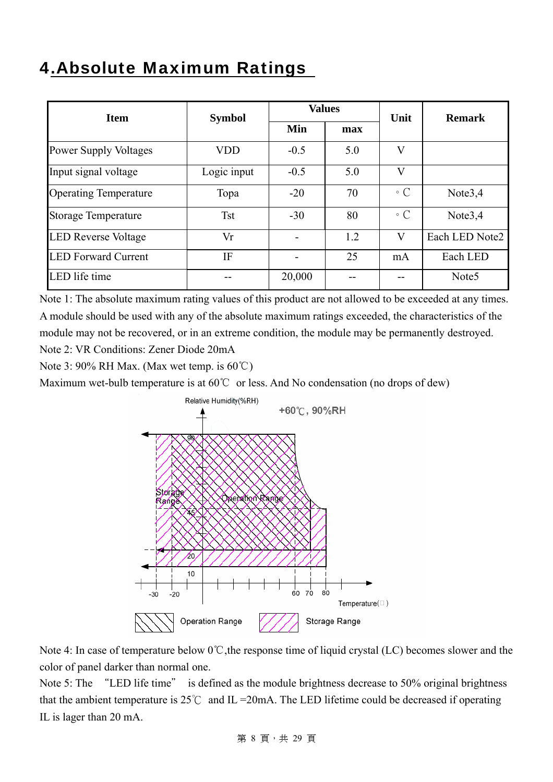### 4.Absolute Maximum Ratings

| <b>Item</b>                  |             | <b>Values</b><br><b>Symbol</b> |     | Unit                    | <b>Remark</b>       |
|------------------------------|-------------|--------------------------------|-----|-------------------------|---------------------|
|                              | Min<br>max  |                                |     |                         |                     |
| <b>Power Supply Voltages</b> | VDD         | $-0.5$                         | 5.0 | V                       |                     |
| Input signal voltage         | Logic input | $-0.5$                         | 5.0 | $\overline{\mathsf{V}}$ |                     |
| <b>Operating Temperature</b> | Topa        | $-20$                          | 70  | $\circ$ C               | Note $3,4$          |
| <b>Storage Temperature</b>   | <b>Tst</b>  | $-30$                          | 80  | $\circ$ C               | Note <sub>3,4</sub> |
| <b>LED Reverse Voltage</b>   | Vr          | $\overline{\phantom{0}}$       | 1.2 | V                       | Each LED Note2      |
| <b>LED Forward Current</b>   | IF          | -                              | 25  | mA                      | Each LED            |
| LED life time                |             | 20,000                         |     |                         | Note <sub>5</sub>   |

Note 1: The absolute maximum rating values of this product are not allowed to be exceeded at any times. A module should be used with any of the absolute maximum ratings exceeded, the characteristics of the module may not be recovered, or in an extreme condition, the module may be permanently destroyed. Note 2: VR Conditions: Zener Diode 20mA

Note 3: 90% RH Max. (Max wet temp. is 60℃)

Maximum wet-bulb temperature is at 60℃ or less. And No condensation (no drops of dew)



Note 4: In case of temperature below 0℃,the response time of liquid crystal (LC) becomes slower and the color of panel darker than normal one.

Note 5: The "LED life time" is defined as the module brightness decrease to 50% original brightness that the ambient temperature is  $25^{\circ}$ C and IL = 20mA. The LED lifetime could be decreased if operating IL is lager than 20 mA.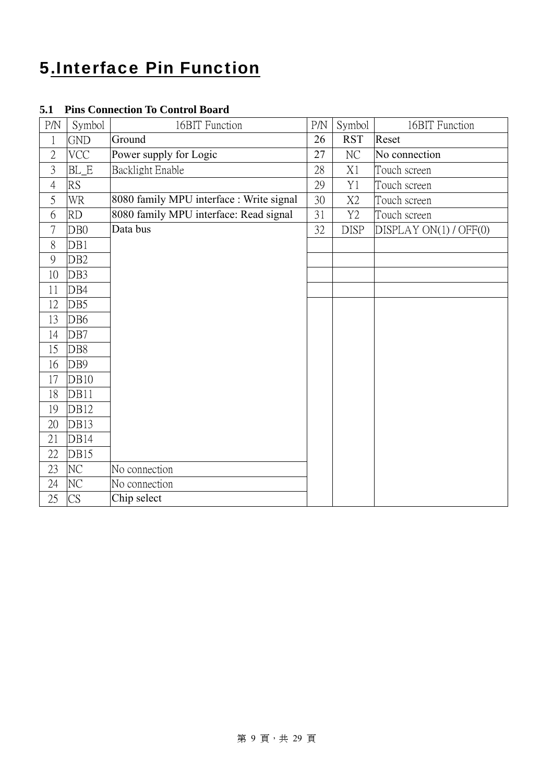### 5.Interface Pin Function

| P/N            | Symbol          | 16BIT Function                           | P/N | Symbol         | 16BIT Function         |
|----------------|-----------------|------------------------------------------|-----|----------------|------------------------|
| $\mathbf{1}$   | <b>GND</b>      | Ground                                   | 26  | <b>RST</b>     | Reset                  |
| $\overline{2}$ | <b>VCC</b>      | Power supply for Logic                   | 27  | $\rm NC$       | No connection          |
| $\overline{3}$ | BL_E            | Backlight Enable                         | 28  | X1             | Touch screen           |
| $\overline{4}$ | RS              |                                          | 29  | Y1             | Touch screen           |
| 5              | <b>WR</b>       | 8080 family MPU interface : Write signal | 30  | X2             | Touch screen           |
| 6              | <b>RD</b>       | 8080 family MPU interface: Read signal   | 31  | Y <sub>2</sub> | Touch screen           |
| $\overline{7}$ | DB <sub>0</sub> | Data bus                                 | 32  | <b>DISP</b>    | DISPLAY ON(1) / OFF(0) |
| 8              | DB1             |                                          |     |                |                        |
| 9              | DB <sub>2</sub> |                                          |     |                |                        |
| 10             | DB3             |                                          |     |                |                        |
| 11             | DB4             |                                          |     |                |                        |
| 12             | DB5             |                                          |     |                |                        |
| 13             | DB <sub>6</sub> |                                          |     |                |                        |
| 14             | DB7             |                                          |     |                |                        |
| 15             | DB8             |                                          |     |                |                        |
| 16             | DB9             |                                          |     |                |                        |
| 17             | <b>DB10</b>     |                                          |     |                |                        |
| 18             | DB11            |                                          |     |                |                        |
| 19             | <b>DB12</b>     |                                          |     |                |                        |
| 20             | <b>DB13</b>     |                                          |     |                |                        |
| 21             | DB14            |                                          |     |                |                        |
| 22             | DB15            |                                          |     |                |                        |
| 23             | NC              | No connection                            |     |                |                        |
| 24             | NC              | No connection                            |     |                |                        |
| 25             | CS              | Chip select                              |     |                |                        |

### **5.1 Pins Connection To Control Board**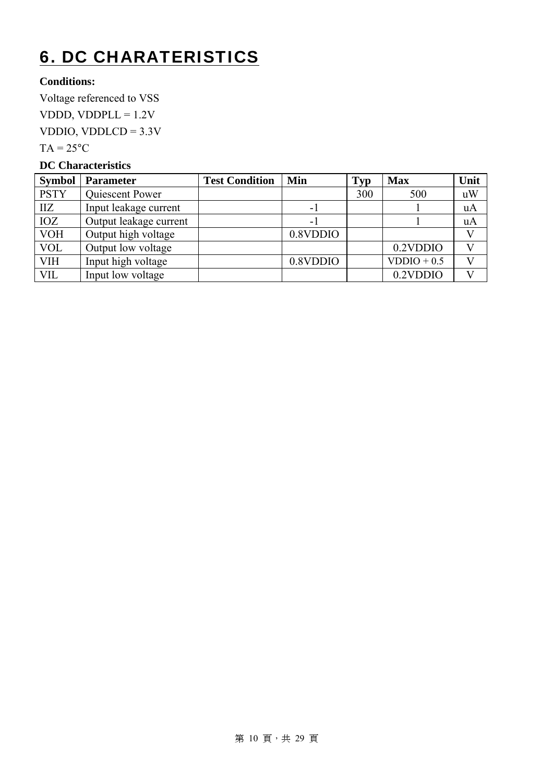# 6. DC CHARATERISTICS

### **Conditions:**

Voltage referenced to VSS VDDD, VDDPL $L = 1.2V$ VDDIO, VDDLCD = 3.3V  $TA = 25^{\circ}C$ 

#### **DC Characteristics**

| <b>Symbol</b> | <b>Parameter</b>       | <b>Test Condition</b> | Min      | <b>Typ</b> | <b>Max</b>    | Unit      |
|---------------|------------------------|-----------------------|----------|------------|---------------|-----------|
| <b>PSTY</b>   | Quiescent Power        |                       |          | 300        | 500           | uW        |
| $\prod Z$     | Input leakage current  |                       | $-1$     |            |               | <b>uA</b> |
| IOZ           | Output leakage current |                       | $-1$     |            |               | <b>uA</b> |
| <b>VOH</b>    | Output high voltage    |                       | 0.8VDDIO |            |               |           |
| <b>VOL</b>    | Output low voltage     |                       |          |            | 0.2VDDIO      |           |
| <b>VIH</b>    | Input high voltage     |                       | 0.8VDDIO |            | $VDDIO + 0.5$ |           |
| VIL           | Input low voltage      |                       |          |            | 0.2VDDIO      |           |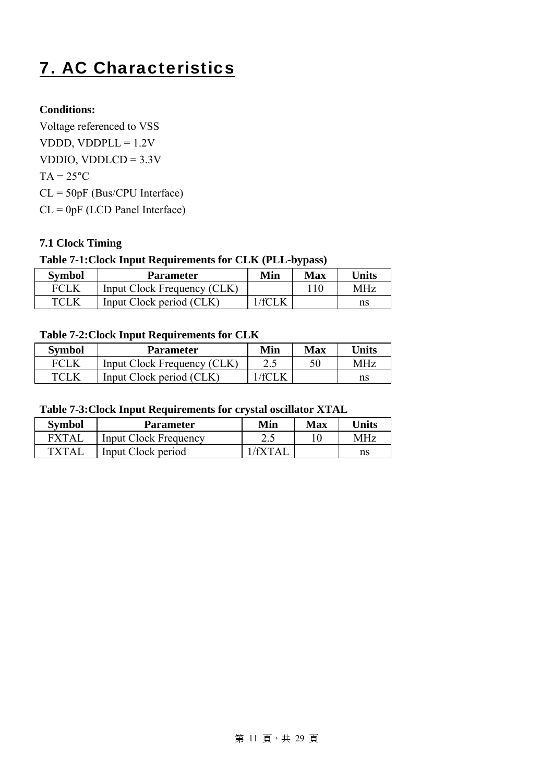# 7. AC Characteristics

### **Conditions:**

Voltage referenced to VSS VDDD, VDDPL $L = 1.2V$ VDDIO, VDDLCD =  $3.3V$  $TA = 25^{\circ}C$ CL = 50pF (Bus/CPU Interface) CL = 0pF (LCD Panel Interface)

### **7.1 Clock Timing**

### **Table 7-1:Clock Input Requirements for CLK (PLL-bypass)**

| Symbol | <b>Parameter</b>            | Min                | Max  | Units |
|--------|-----------------------------|--------------------|------|-------|
| FCLK   | Input Clock Frequency (CLK) |                    | ' 10 | MHz   |
| TCL K  | Input Clock period (CLK)    | $'$ f $\cap$ t $V$ |      | ns    |

#### **Table 7-2:Clock Input Requirements for CLK**

| <b>Symbol</b> | <b>Parameter</b>            | Min   | Max | <b>Units</b> |
|---------------|-----------------------------|-------|-----|--------------|
| <b>FCLK</b>   | Input Clock Frequency (CLK) | 2.J   |     | MHz          |
| TCLK          | Input Clock period (CLK)    | 7 T T |     |              |

#### **Table 7-3:Clock Input Requirements for crystal oscillator XTAL**

| <b>Symbol</b>                                               | <b>Parameter</b>             | Min | Max | <b>Inits</b> |
|-------------------------------------------------------------|------------------------------|-----|-----|--------------|
| $\bm{\Gamma} \bm{\mathrm{X}} \bm{\Gamma} \bm{\mathrm{A}}$ ] | <b>Input Clock Frequency</b> | 2.5 |     | MH7          |
| TXTAI                                                       | Input Clock period           |     |     | ns           |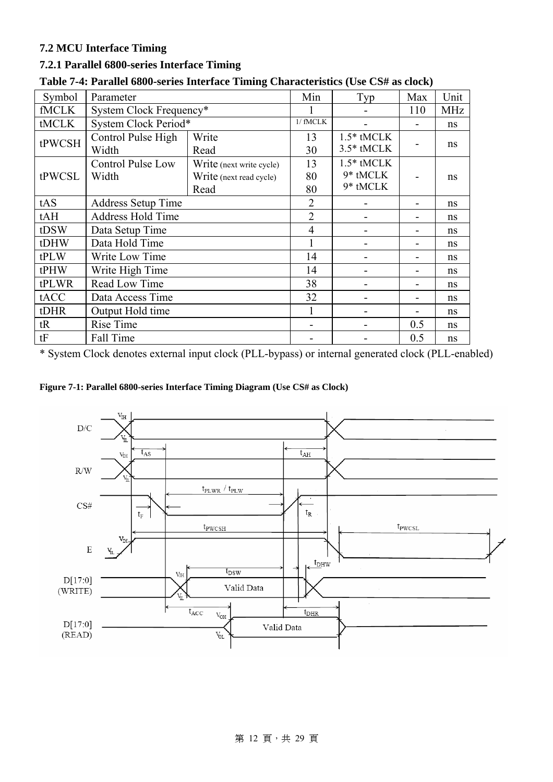### **7.2 MCU Interface Timing**

#### **7.2.1 Parallel 6800-series Interface Timing**

| Symbol       | Parameter                 |                          | Min            | Typ          | Max | Unit       |
|--------------|---------------------------|--------------------------|----------------|--------------|-----|------------|
| <b>fMCLK</b> | System Clock Frequency*   |                          |                |              | 110 | <b>MHz</b> |
| tMCLK        | System Clock Period*      |                          | $1/$ fMCLK     |              |     | ns         |
| tPWCSH       | Control Pulse High        | Write                    | 13             | $1.5*$ tMCLK |     |            |
|              | Width                     | Read                     | 30             | 3.5* tMCLK   |     | ns         |
|              | Control Pulse Low         | Write (next write cycle) | 13             | $1.5*$ tMCLK |     |            |
| tPWCSL       | Width                     | Write (next read cycle)  | 80             | 9* tMCLK     |     | ns         |
|              |                           | Read                     | 80             | 9* tMCLK     |     |            |
| tAS          | <b>Address Setup Time</b> |                          | $\overline{2}$ |              |     | ns         |
| tAH          | Address Hold Time         | $\overline{2}$           |                |              | ns  |            |
| tDSW         | Data Setup Time           |                          | $\overline{4}$ |              |     | ns         |
| tDHW         | Data Hold Time            |                          |                |              |     | ns         |
| tPLW         | Write Low Time            |                          | 14             |              |     | ns         |
| tPHW         | Write High Time           |                          | 14             |              |     | ns         |
| tPLWR        | Read Low Time             |                          | 38             |              |     | ns         |
| tACC         | Data Access Time          | 32                       |                |              | ns  |            |
| tDHR         | Output Hold time          |                          |                |              | ns  |            |
| tR           | Rise Time                 |                          |                | 0.5          | ns  |            |
| tF           | Fall Time                 |                          |                |              | 0.5 | ns         |

### **Table 7-4: Parallel 6800-series Interface Timing Characteristics (Use CS# as clock)**

\* System Clock denotes external input clock (PLL-bypass) or internal generated clock (PLL-enabled)

#### **Figure 7-1: Parallel 6800-series Interface Timing Diagram (Use CS# as Clock)**

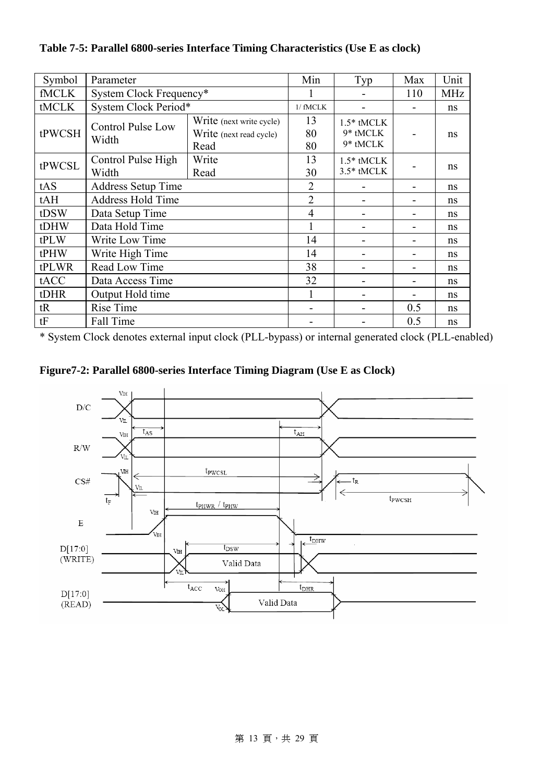| Symbol       | Parameter                         |                                                             | Min                          | Typ                                  | Max | Unit       |
|--------------|-----------------------------------|-------------------------------------------------------------|------------------------------|--------------------------------------|-----|------------|
| <b>fMCLK</b> | System Clock Frequency*           |                                                             |                              |                                      | 110 | <b>MHz</b> |
| tMCLK        | System Clock Period*              |                                                             | 1/ fMCLK                     |                                      |     | ns         |
| tPWCSH       | <b>Control Pulse Low</b><br>Width | Write (next write cycle)<br>Write (next read cycle)<br>Read | 13<br>80<br>80               | $1.5*$ tMCLK<br>9* tMCLK<br>9* tMCLK |     | ns         |
| tPWCSL       | Control Pulse High<br>Width       | 13<br>30                                                    | $1.5*$ tMCLK<br>$3.5*$ tMCLK |                                      | ns  |            |
| tAS          | <b>Address Setup Time</b>         |                                                             | $\overline{2}$               |                                      |     | ns         |
| tAH          | <b>Address Hold Time</b>          | $\overline{2}$                                              |                              |                                      | ns  |            |
| tDSW         | Data Setup Time                   |                                                             | $\overline{4}$               |                                      |     | ns         |
| tDHW         | Data Hold Time                    |                                                             |                              |                                      |     | ns         |
| tPLW         | Write Low Time                    |                                                             | 14                           |                                      |     | ns         |
| tPHW         | Write High Time                   |                                                             | 14                           |                                      |     | ns         |
| tPLWR        | Read Low Time                     |                                                             | 38                           |                                      |     | ns         |
| tACC         | Data Access Time                  | 32                                                          |                              |                                      | ns  |            |
| tDHR         | Output Hold time                  |                                                             |                              |                                      | ns  |            |
| tR           | Rise Time                         |                                                             |                              | 0.5                                  | ns  |            |
| tF           | Fall Time                         |                                                             |                              |                                      | 0.5 | ns         |

**Table 7-5: Parallel 6800-series Interface Timing Characteristics (Use E as clock)** 

\* System Clock denotes external input clock (PLL-bypass) or internal generated clock (PLL-enabled)



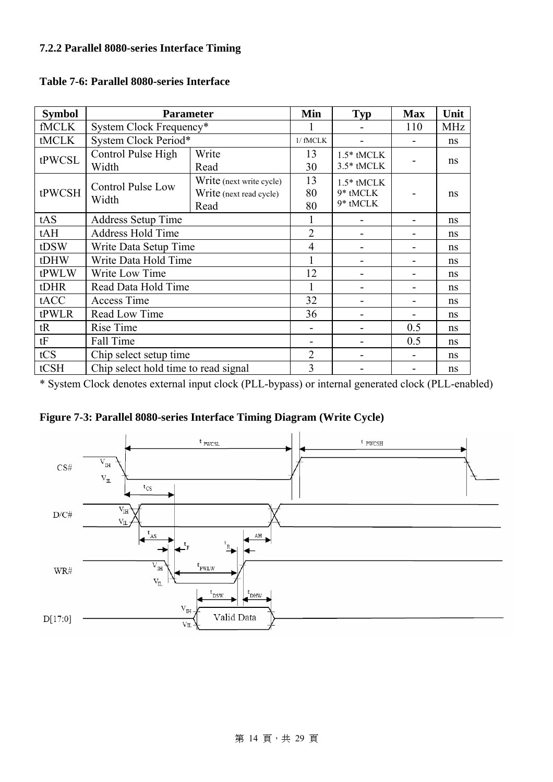| <b>Symbol</b> | <b>Parameter</b>                                                                                         |                | Min                          | <b>Typ</b>                           | <b>Max</b> | Unit |
|---------------|----------------------------------------------------------------------------------------------------------|----------------|------------------------------|--------------------------------------|------------|------|
| <b>fMCLK</b>  | System Clock Frequency*                                                                                  |                |                              | 110                                  | <b>MHz</b> |      |
| tMCLK         | System Clock Period*                                                                                     |                | $1/$ fMCLK                   |                                      |            | ns   |
| tPWCSL        | Control Pulse High<br>Width                                                                              | 13<br>30       | $1.5*$ tMCLK<br>$3.5*$ tMCLK |                                      | ns         |      |
| tPWCSH        | Read<br>Write (next write cycle)<br><b>Control Pulse Low</b><br>Write (next read cycle)<br>Width<br>Read |                | 13<br>80<br>80               | $1.5*$ tMCLK<br>9* tMCLK<br>9* tMCLK |            | ns   |
| tAS           | <b>Address Setup Time</b>                                                                                |                |                              |                                      |            | ns   |
| tAH           | <b>Address Hold Time</b>                                                                                 | $\overline{2}$ |                              |                                      | ns         |      |
| tDSW          | Write Data Setup Time                                                                                    | $\overline{4}$ |                              |                                      | ns         |      |
| tDHW          | Write Data Hold Time                                                                                     |                |                              |                                      |            | ns   |
| tPWLW         | Write Low Time                                                                                           |                | 12                           |                                      |            | ns   |
| tDHR          | Read Data Hold Time                                                                                      |                |                              |                                      |            | ns   |
| tACC          | <b>Access Time</b>                                                                                       |                | 32                           |                                      |            | ns   |
| tPWLR         | Read Low Time                                                                                            |                | 36                           |                                      |            | ns   |
| tR            | <b>Rise Time</b>                                                                                         |                |                              | 0.5                                  | ns         |      |
| tF            | Fall Time                                                                                                |                |                              | 0.5                                  | ns         |      |
| tCS           | Chip select setup time                                                                                   |                | $\overline{2}$               |                                      |            | ns   |
| tCSH          | Chip select hold time to read signal                                                                     |                | 3                            |                                      |            | ns   |

#### **Table 7-6: Parallel 8080-series Interface**

\* System Clock denotes external input clock (PLL-bypass) or internal generated clock (PLL-enabled)



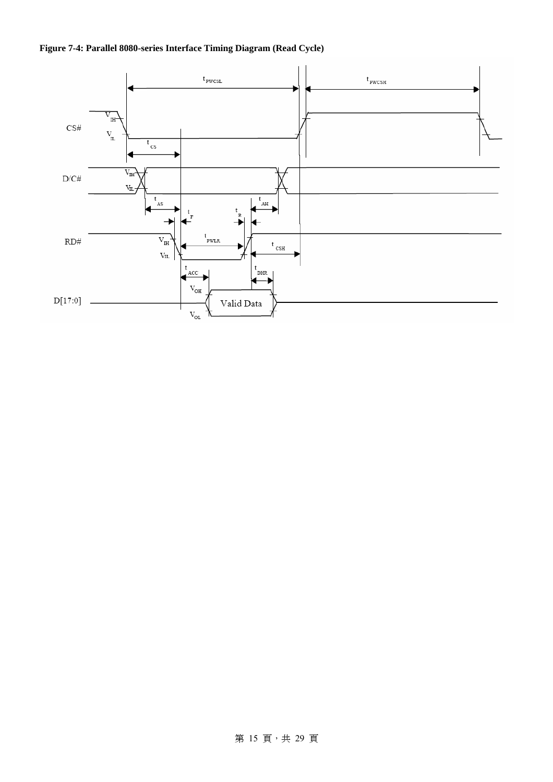



### 第 15 頁, 共 29 頁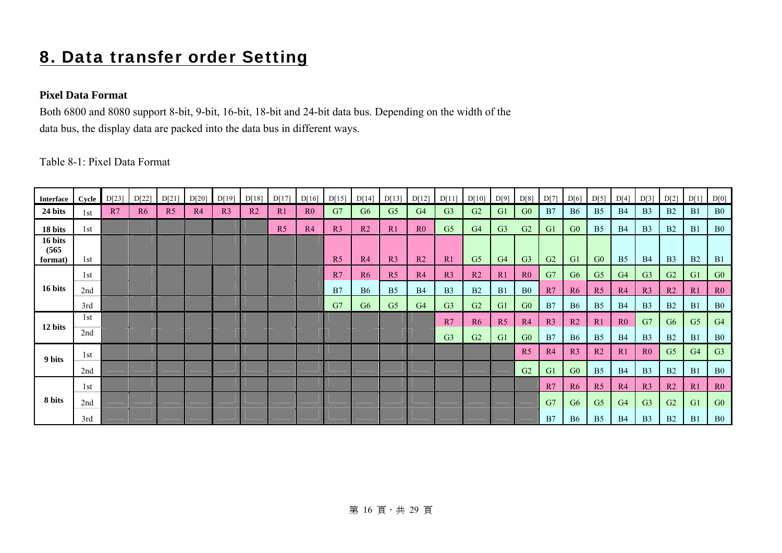### 8. Data transfer order Setting

#### **Pixel Data Format**

Both 6800 and 8080 support 8-bit, 9-bit, 16-bit, 18-bit and 24-bit data bus. Depending on the width of the data bus, the display data are packed into the data bus in different ways.

Table 8-1: Pixel Data Format

| <b>Interface</b>            | Cycle | D[23] | D[22]          | D[21]          | D[20] | D[19]          | D[18]          | D[17]          | D[16]          | D[15]          | D[14]          | D[13]          | D[12]          | D[11]          | D[10]          | D[9]           | D[8]           | D[7]           | D[6]           | D[5]           | D[4]           | D[3]           | D[2]           | D[1]           | D[0]           |
|-----------------------------|-------|-------|----------------|----------------|-------|----------------|----------------|----------------|----------------|----------------|----------------|----------------|----------------|----------------|----------------|----------------|----------------|----------------|----------------|----------------|----------------|----------------|----------------|----------------|----------------|
| 24 bits                     | 1st   | R7    | R <sub>6</sub> | R <sub>5</sub> | R4    | R <sub>3</sub> | R <sub>2</sub> | R1             | R <sub>0</sub> | G7             | G <sub>6</sub> | G <sub>5</sub> | G <sub>4</sub> | G <sub>3</sub> | G <sub>2</sub> | G1             | G <sub>0</sub> | B7             | <b>B6</b>      | B <sub>5</sub> | <b>B4</b>      | B <sub>3</sub> | B <sub>2</sub> | B1             | B <sub>0</sub> |
| 18 bits                     | 1st   |       |                |                |       |                |                | R <sub>5</sub> | R4             | R <sub>3</sub> | R <sub>2</sub> | R1             | R <sub>0</sub> | G <sub>5</sub> | G <sub>4</sub> | G <sub>3</sub> | G2             | G1             | G <sub>0</sub> | B <sub>5</sub> | <b>B4</b>      | B <sub>3</sub> | B <sub>2</sub> | B1             | B <sub>0</sub> |
| 16 bits<br>(565)<br>format) | 1st   |       |                |                |       |                |                |                |                | R <sub>5</sub> | R <sub>4</sub> | R <sub>3</sub> | R <sub>2</sub> | R1             | G <sub>5</sub> | G <sub>4</sub> | G <sub>3</sub> | G <sub>2</sub> | G <sub>1</sub> | G <sub>0</sub> | B <sub>5</sub> | <b>B4</b>      | B <sub>3</sub> | B <sub>2</sub> | <b>B1</b>      |
|                             | 1st   |       |                |                |       |                |                |                |                | R7             | R6             | R <sub>5</sub> | R4             | R <sub>3</sub> | R <sub>2</sub> | R <sub>1</sub> | R <sub>0</sub> | G7             | G <sub>6</sub> | G <sub>5</sub> | G <sub>4</sub> | G <sub>3</sub> | G <sub>2</sub> | G1             | G <sub>0</sub> |
| 16 bits                     | 2nd   |       |                |                |       |                |                |                |                | B7             | <b>B6</b>      | B <sub>5</sub> | B <sub>4</sub> | B <sub>3</sub> | B2             | B1             | B <sub>0</sub> | R7             | R <sub>6</sub> | R <sub>5</sub> | R4             | R <sub>3</sub> | R2             | R1             | R <sub>0</sub> |
|                             | 3rd   |       |                |                |       |                |                |                |                | G7             | G <sub>6</sub> | G <sub>5</sub> | G <sub>4</sub> | G <sub>3</sub> | G <sub>2</sub> | G1             | G0             | B7             | <b>B6</b>      | B <sub>5</sub> | <b>B4</b>      | B <sub>3</sub> | B <sub>2</sub> | B1             | B <sub>0</sub> |
| 12 bits                     | 1st   |       |                |                |       |                |                |                |                |                |                |                |                | R7             | R6             | R <sub>5</sub> | R4             | R <sub>3</sub> | R <sub>2</sub> | R <sub>1</sub> | R <sub>0</sub> | G7             | G <sub>6</sub> | G <sub>5</sub> | G <sub>4</sub> |
|                             | 2nd   |       |                |                |       |                |                |                |                |                |                |                |                | G <sub>3</sub> | G <sub>2</sub> | G <sub>1</sub> | G0             | B7             | <b>B6</b>      | B <sub>5</sub> | <b>B4</b>      | B <sub>3</sub> | <b>B2</b>      | B1             | B <sub>0</sub> |
| 9 bits                      | 1st   |       |                |                |       |                |                |                |                |                |                |                |                |                |                |                | R <sub>5</sub> | R4             | R <sub>3</sub> | R <sub>2</sub> | R1             | R <sub>0</sub> | G <sub>5</sub> | G4             | G <sub>3</sub> |
|                             | 2nd   |       |                |                |       |                |                |                |                |                |                |                |                |                |                |                | G2             | G1             | G <sub>0</sub> | B <sub>5</sub> | <b>B4</b>      | B <sub>3</sub> | B <sub>2</sub> | B1             | B <sub>0</sub> |
|                             | 1st   |       |                |                |       |                |                |                |                |                |                |                |                |                |                |                |                | R7             | R6             | R <sub>5</sub> | R4             | R <sub>3</sub> | R <sub>2</sub> | R1             | R <sub>0</sub> |
| 8 bits                      | 2nd   |       |                |                |       |                |                |                |                |                |                |                |                |                |                |                |                | G7             | G <sub>6</sub> | G <sub>5</sub> | G <sub>4</sub> | G <sub>3</sub> | G <sub>2</sub> | G <sub>1</sub> | G <sub>0</sub> |
|                             | 3rd   |       |                |                |       |                |                |                |                |                |                |                |                |                |                |                |                | B7             | <b>B6</b>      | B <sub>5</sub> | <b>B4</b>      | B <sub>3</sub> | B <sub>2</sub> | B <sub>1</sub> | B <sub>0</sub> |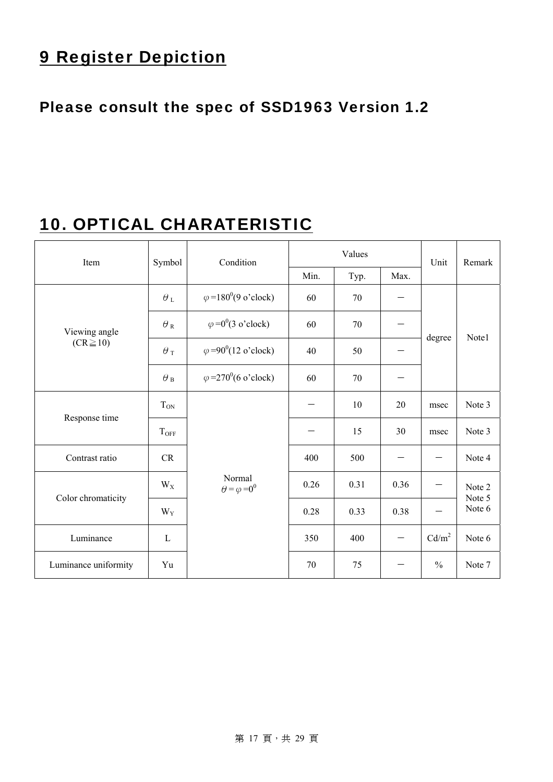### 9 Register Depiction

### Please consult the spec of SSD1963 Version 1.2

### 10. OPTICAL CHARATERISTIC

| Item                 | Symbol             | Condition                                  |      | Values |      | Unit              | Remark           |  |
|----------------------|--------------------|--------------------------------------------|------|--------|------|-------------------|------------------|--|
|                      |                    |                                            | Min. | Typ.   | Max. |                   |                  |  |
|                      | $\theta_L$         | $\varphi = 180^\circ (9 \text{ o'clock})$  | 60   | 70     |      |                   |                  |  |
| Viewing angle        | $\theta_{\,\rm R}$ | $\varphi = 0^0(3 \text{ o}' \text{clock})$ | 60   | 70     |      |                   | Note1            |  |
| $(CR \ge 10)$        | $\theta$ T         | $\varphi = 90^0 (12 \text{ o'clock})$      | 40   | 50     |      | degree            |                  |  |
|                      | $\theta$ в         | $\varphi = 270^0 (6 \text{ o'clock})$      | 60   | 70     |      |                   |                  |  |
| Response time        | $T_{ON}$           |                                            |      | 10     | 20   | msec              | Note 3           |  |
|                      | $T_{OFF}$          |                                            |      | 15     | 30   | msec              | Note 3           |  |
| Contrast ratio       | CR                 |                                            | 400  | 500    |      |                   | Note 4           |  |
| Color chromaticity   | $W_X$              | Normal<br>$\theta = \varphi = 0^0$         | 0.26 | 0.31   | 0.36 |                   | Note 2<br>Note 5 |  |
|                      | $W_Y$              |                                            | 0.28 | 0.33   | 0.38 |                   | Note 6           |  |
| Luminance            | $\mathbf{L}$       |                                            | 350  | 400    |      | Cd/m <sup>2</sup> | Note 6           |  |
| Luminance uniformity | Yu                 |                                            | 70   | 75     |      | $\frac{0}{0}$     | Note 7           |  |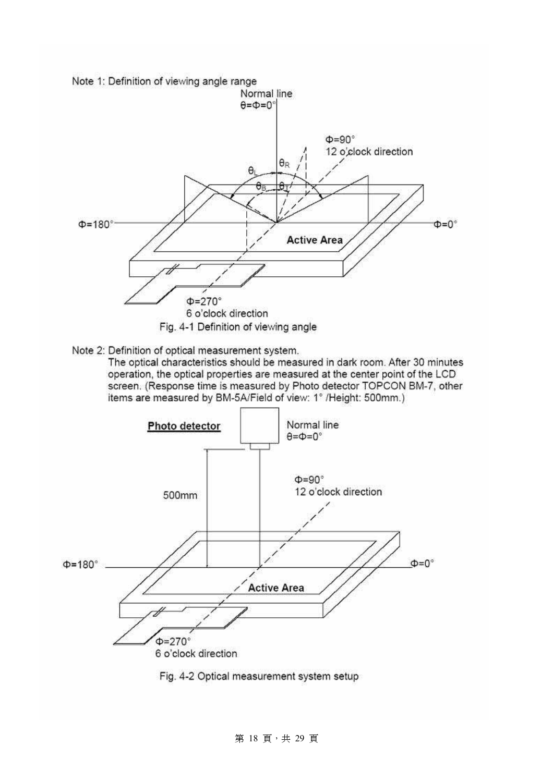

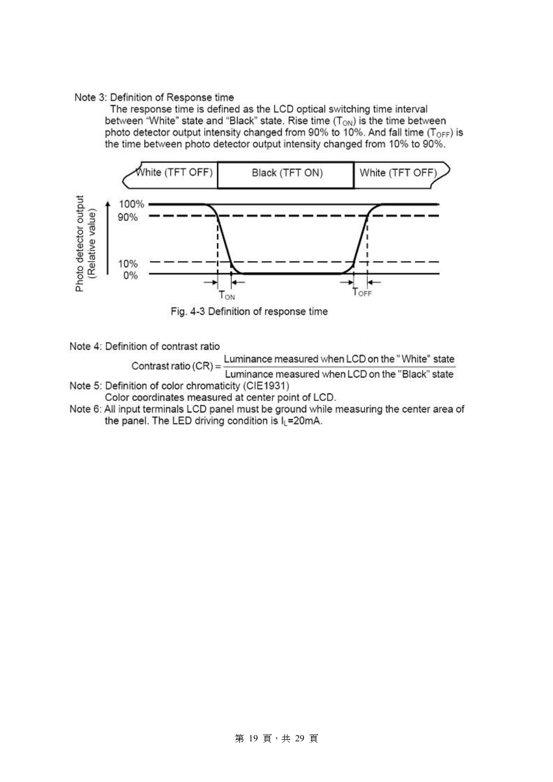#### Note 3: Definition of Response time

The response time is defined as the LCD optical switching time interval between "White" state and "Black" state. Rise time  $(T_{ON})$  is the time between photo detector output intensity changed from 90% to 10%. And fall time (T<sub>OFF</sub>) is the time between photo detector output intensity changed from 10% to 90%.



Fig. 4-3 Definition of response time

Note 4: Definition of contrast ratio

Luminance measured when LCD on the "White" state Contrast ratio  $(CR)$  = Luminance measured when LCD on the "Black" state Note 5: Definition of color chromaticity (CIE1931)

- Color coordinates measured at center point of LCD.
- Note 6: All input terminals LCD panel must be ground while measuring the center area of the panel. The LED driving condition is IL=20mA.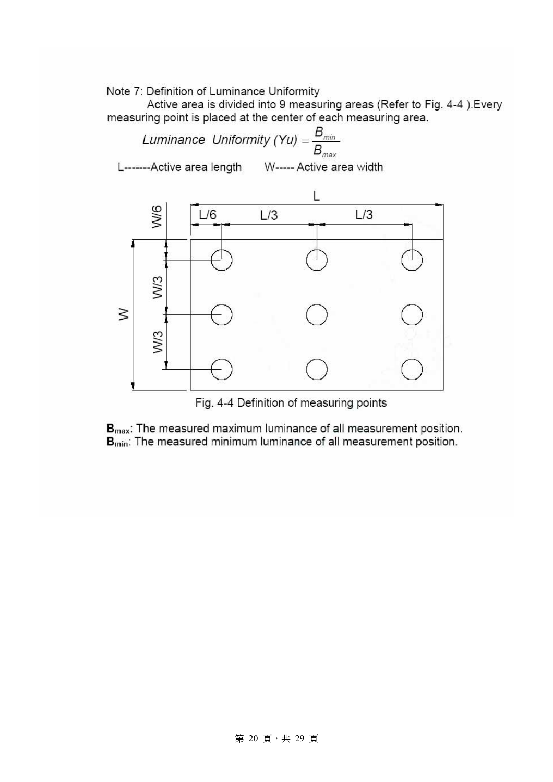Note 7: Definition of Luminance Uniformity

Active area is divided into 9 measuring areas (Refer to Fig. 4-4). Every measuring point is placed at the center of each measuring area.



Fig. 4-4 Definition of measuring points

 $B_{\text{max}}$ : The measured maximum luminance of all measurement position. B<sub>min</sub>: The measured minimum luminance of all measurement position.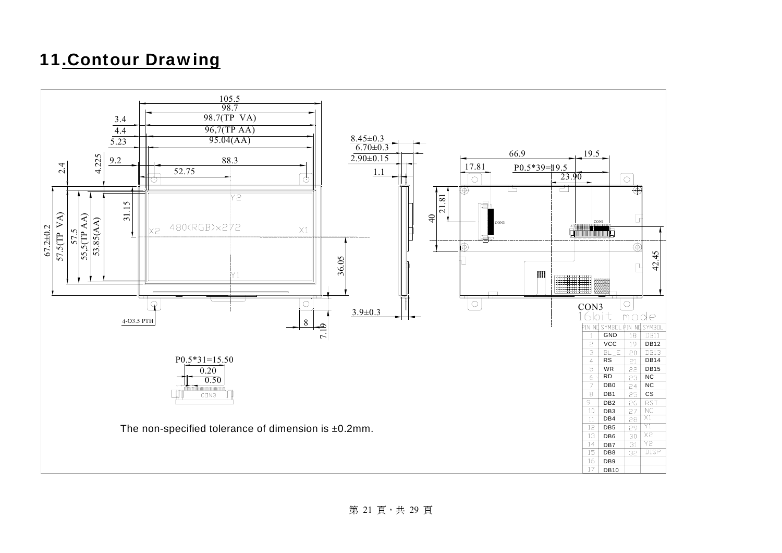### 11.Contour Drawing

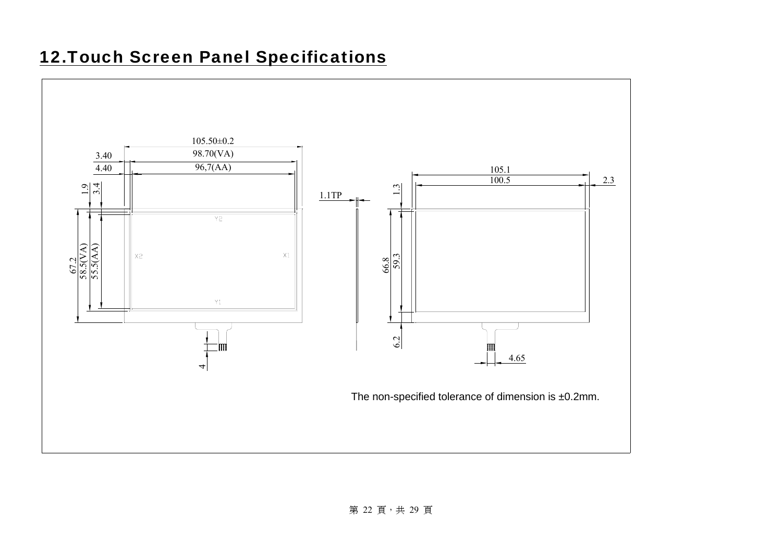### 12.Touch Screen Panel Specifications

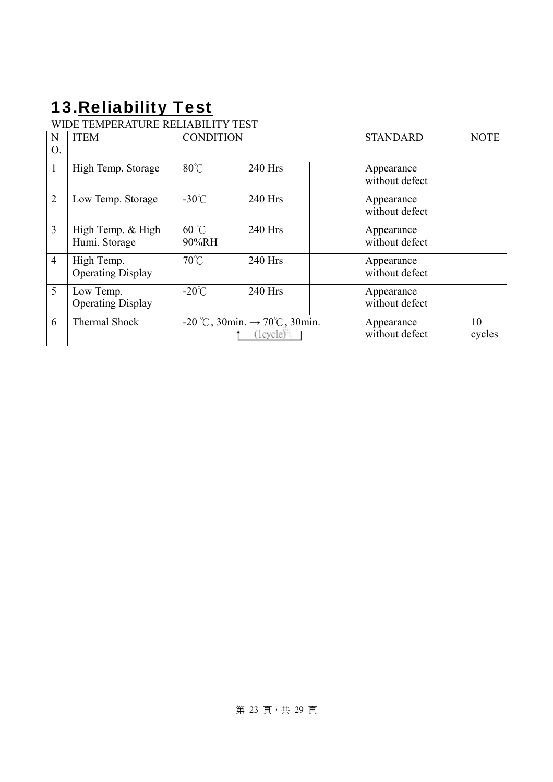# 13. Reliability Test

### WIDE TEMPERATURE RELIABILITY TEST

| N<br>О.        | <b>ITEM</b>                            | <b>CONDITION</b>                                                          |           |  | <b>STANDARD</b>              | <b>NOTE</b>  |
|----------------|----------------------------------------|---------------------------------------------------------------------------|-----------|--|------------------------------|--------------|
| 1              | High Temp. Storage                     | $80^{\circ}$ C                                                            | 240 Hrs   |  | Appearance<br>without defect |              |
| $\overline{2}$ | Low Temp. Storage                      | $-30^{\circ}$ C                                                           | 240 Hrs   |  | Appearance<br>without defect |              |
| $\overline{3}$ | High Temp. & High<br>Humi. Storage     | $60^{\circ}$ C<br>90%RH                                                   | 240 Hrs   |  | Appearance<br>without defect |              |
| $\overline{4}$ | High Temp.<br><b>Operating Display</b> | $70^{\circ}$ C                                                            | $240$ Hrs |  | Appearance<br>without defect |              |
| 5              | Low Temp.<br><b>Operating Display</b>  | $-20^{\circ}$ C                                                           | 240 Hrs   |  | Appearance<br>without defect |              |
| 6              | <b>Thermal Shock</b>                   | -20 °C, 30min. $\rightarrow$ 70°C, 30min.<br>$(1$ cycle $)^{\frac{1}{2}}$ |           |  | Appearance<br>without defect | 10<br>cycles |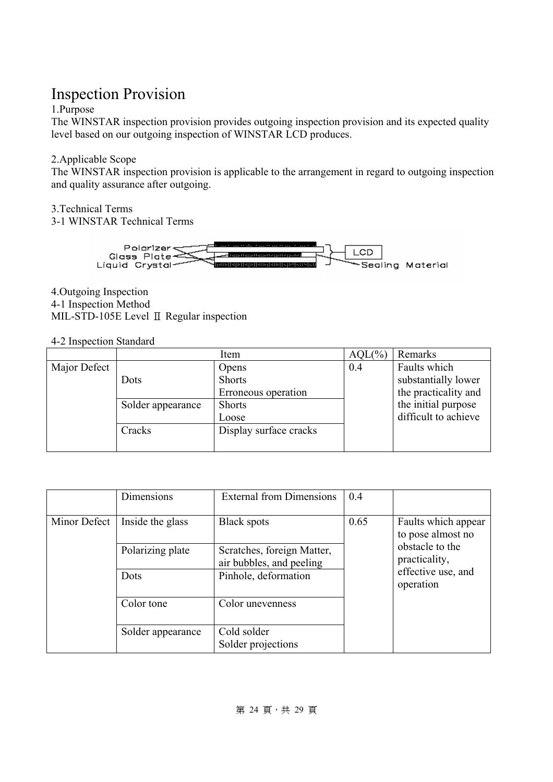### Inspection Provision

### 1.Purpose

The WINSTAR inspection provision provides outgoing inspection provision and its expected quality level based on our outgoing inspection of WINSTAR LCD produces.

### 2.Applicable Scope

The WINSTAR inspection provision is applicable to the arrangement in regard to outgoing inspection and quality assurance after outgoing.

3.Technical Terms

3-1 WINSTAR Technical Terms



4.Outgoing Inspection 4-1 Inspection Method MIL-STD-105E Level Ⅱ Regular inspection

### 4-2 Inspection Standard

|              |                   | Item                   | AQL(% | Remarks              |
|--------------|-------------------|------------------------|-------|----------------------|
| Major Defect |                   | Opens                  | 0.4   | Faults which         |
|              | Dots              | <b>Shorts</b>          |       | substantially lower  |
|              |                   | Erroneous operation    |       | the practicality and |
|              | Solder appearance | <b>Shorts</b>          |       | the initial purpose  |
|              |                   | Loose                  |       | difficult to achieve |
|              | Cracks            | Display surface cracks |       |                      |
|              |                   |                        |       |                      |

|              | Dimensions        | <b>External from Dimensions</b>                        | 0.4  |                                          |  |  |
|--------------|-------------------|--------------------------------------------------------|------|------------------------------------------|--|--|
| Minor Defect | Inside the glass  | <b>Black spots</b>                                     | 0.65 | Faults which appear<br>to pose almost no |  |  |
|              | Polarizing plate  | Scratches, foreign Matter,<br>air bubbles, and peeling |      | obstacle to the<br>practicality,         |  |  |
|              | Dots              | Pinhole, deformation                                   |      | effective use, and<br>operation          |  |  |
|              | Color tone        | Color unevenness                                       |      |                                          |  |  |
|              | Solder appearance | Cold solder<br>Solder projections                      |      |                                          |  |  |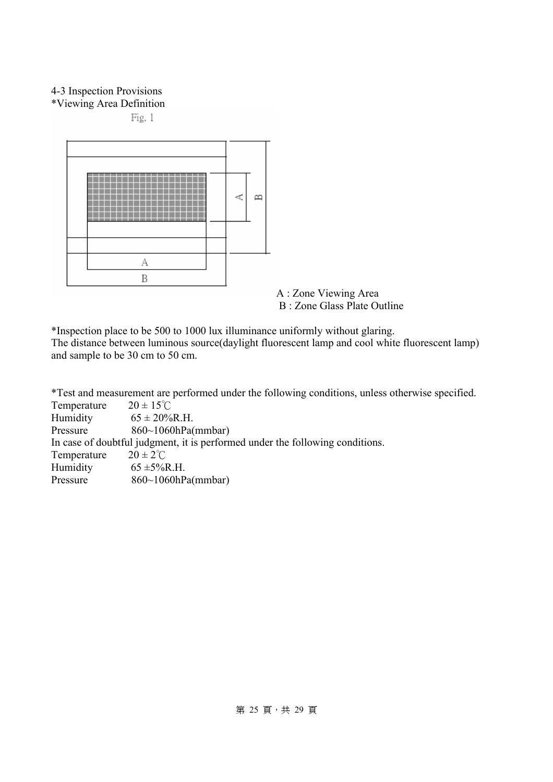### 4-3 Inspection Provisions

\*Viewing Area Definition

Fig. 1



A : Zone Viewing Area B : Zone Glass Plate Outline

\*Inspection place to be 500 to 1000 lux illuminance uniformly without glaring.

The distance between luminous source(daylight fluorescent lamp and cool white fluorescent lamp) and sample to be 30 cm to 50 cm.

\*Test and measurement are performed under the following conditions, unless otherwise specified.

| Temperature | $20 \pm 15^{\circ}$ C                                                         |
|-------------|-------------------------------------------------------------------------------|
| Humidity    | $65 \pm 20\%$ R.H.                                                            |
| Pressure    | $860~1060$ hPa(mmbar)                                                         |
|             | In case of doubtful judgment, it is performed under the following conditions. |
| Temperature | $20 \pm 2^{\circ}$ C                                                          |
| Humidity    | $65 \pm 5\%$ R.H.                                                             |
| Pressure    | $860~1060$ hPa(mmbar)                                                         |
|             |                                                                               |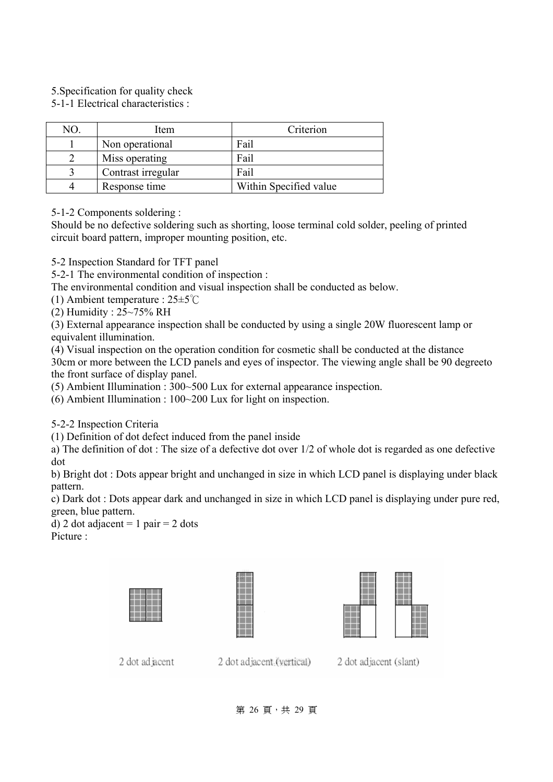5.Specification for quality check

5-1-1 Electrical characteristics :

| NO | Item               | Criterion              |
|----|--------------------|------------------------|
|    | Non operational    | Fail                   |
|    | Miss operating     | Fail                   |
|    | Contrast irregular | Fail                   |
|    | Response time      | Within Specified value |

5-1-2 Components soldering :

Should be no defective soldering such as shorting, loose terminal cold solder, peeling of printed circuit board pattern, improper mounting position, etc.

5-2 Inspection Standard for TFT panel

5-2-1 The environmental condition of inspection :

The environmental condition and visual inspection shall be conducted as below.

(1) Ambient temperature : 25±5℃

(2) Humidity : 25~75% RH

(3) External appearance inspection shall be conducted by using a single 20W fluorescent lamp or equivalent illumination.

(4) Visual inspection on the operation condition for cosmetic shall be conducted at the distance 30cm or more between the LCD panels and eyes of inspector. The viewing angle shall be 90 degreeto the front surface of display panel.

(5) Ambient Illumination : 300~500 Lux for external appearance inspection.

(6) Ambient Illumination : 100~200 Lux for light on inspection.

5-2-2 Inspection Criteria

(1) Definition of dot defect induced from the panel inside

a) The definition of dot : The size of a defective dot over 1/2 of whole dot is regarded as one defective dot

b) Bright dot : Dots appear bright and unchanged in size in which LCD panel is displaying under black pattern.

c) Dark dot : Dots appear dark and unchanged in size in which LCD panel is displaying under pure red, green, blue pattern.

d) 2 dot adjacent = 1 pair = 2 dots Picture ·







2 dot ad acent

2 dot adjacent (vertical)

2 dot adiacent (slant)

第 26 頁, 共 29 頁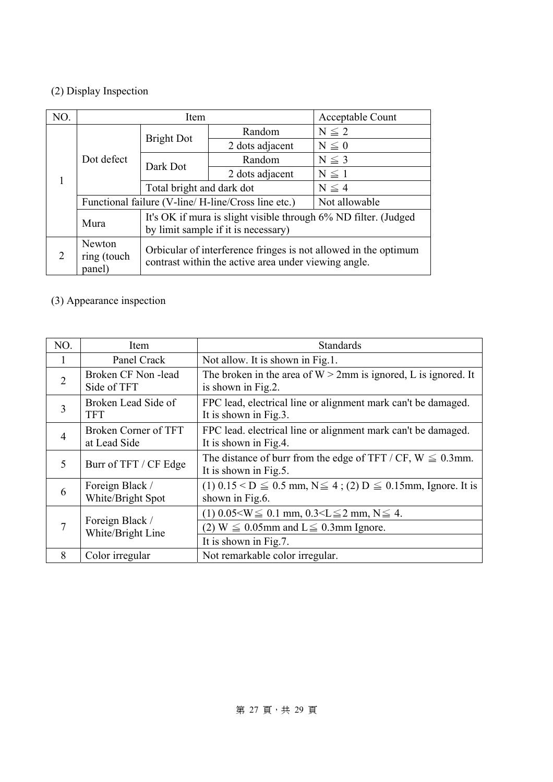### (2) Display Inspection

| NO.                         |                                 | Item                                                                                                                    |                                                                                                        | Acceptable Count |  |  |  |  |  |
|-----------------------------|---------------------------------|-------------------------------------------------------------------------------------------------------------------------|--------------------------------------------------------------------------------------------------------|------------------|--|--|--|--|--|
|                             |                                 | <b>Bright Dot</b>                                                                                                       | Random                                                                                                 | $N \leq 2$       |  |  |  |  |  |
| 1                           |                                 |                                                                                                                         | 2 dots adjacent                                                                                        | $N\leq 0$        |  |  |  |  |  |
|                             | Dot defect                      | Dark Dot                                                                                                                | Random                                                                                                 | $N \leq 3$       |  |  |  |  |  |
|                             |                                 |                                                                                                                         | 2 dots adjacent                                                                                        | $N \leq 1$       |  |  |  |  |  |
|                             |                                 | Total bright and dark dot                                                                                               |                                                                                                        | $N \leq 4$       |  |  |  |  |  |
|                             |                                 | Functional failure (V-line/H-line/Cross line etc.)                                                                      | Not allowable                                                                                          |                  |  |  |  |  |  |
|                             | Mura                            |                                                                                                                         | It's OK if mura is slight visible through 6% ND filter. (Judged<br>by limit sample if it is necessary) |                  |  |  |  |  |  |
| $\mathcal{D}_{\mathcal{L}}$ | Newton<br>ring (touch<br>panel) | Orbicular of interference fringes is not allowed in the optimum<br>contrast within the active area under viewing angle. |                                                                                                        |                  |  |  |  |  |  |

### (3) Appearance inspection

| NO.            | Item                                 | <b>Standards</b>                                                                                 |
|----------------|--------------------------------------|--------------------------------------------------------------------------------------------------|
| 1              | Panel Crack                          | Not allow. It is shown in Fig.1.                                                                 |
| $\overline{2}$ | Broken CF Non-lead<br>Side of TFT    | The broken in the area of $W > 2$ mm is ignored, L is ignored. It<br>is shown in Fig.2.          |
| 3              | Broken Lead Side of<br><b>TFT</b>    | FPC lead, electrical line or alignment mark can't be damaged.<br>It is shown in Fig.3.           |
| $\overline{4}$ | Broken Corner of TFT<br>at Lead Side | FPC lead. electrical line or alignment mark can't be damaged.<br>It is shown in Fig.4.           |
| 5              | Burr of TFT / CF Edge                | The distance of burr from the edge of TFT / CF, $W \le 0.3$ mm.<br>It is shown in Fig.5.         |
| 6              | Foreign Black /<br>White/Bright Spot | $(1)$ 0.15 < D $\leq$ 0.5 mm, N $\leq$ 4; (2) D $\leq$ 0.15 mm, Ignore. It is<br>shown in Fig.6. |
| 7              | Foreign Black /<br>White/Bright Line | $(1)$ 0.05 $\leq$ W $\leq$ 0.1 mm, 0.3 $\leq$ $\leq$ 2 mm, N $\leq$ 4.                           |
|                |                                      | (2) $W \leq 0.05$ mm and $L \leq 0.3$ mm Ignore.                                                 |
|                |                                      | It is shown in Fig.7.                                                                            |
| 8              | Color irregular                      | Not remarkable color irregular.                                                                  |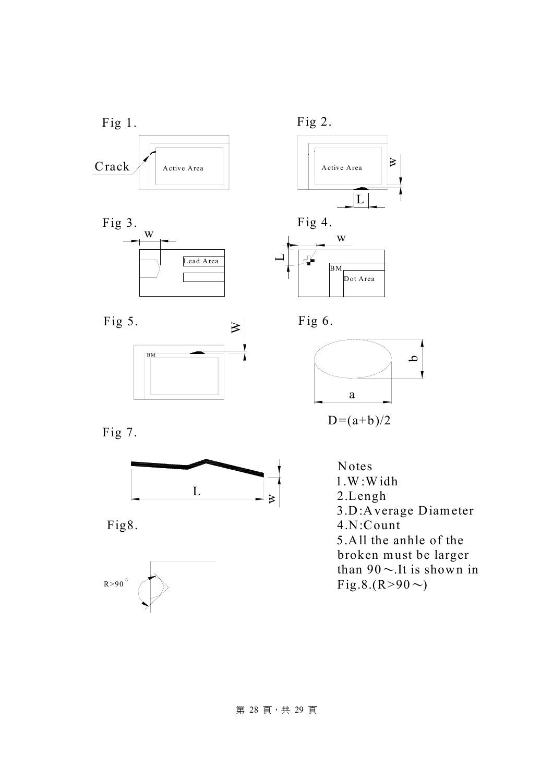



BM







 $D=(a+b)/2$ 









Notes 1.W:Widh 2.Lengh 3.D:Average Diameter 4.N:Count 5.All the anhle of the broken must be larger than  $90 \sim$ . It is shown in Fig.8.(R>90 $\sim$ )